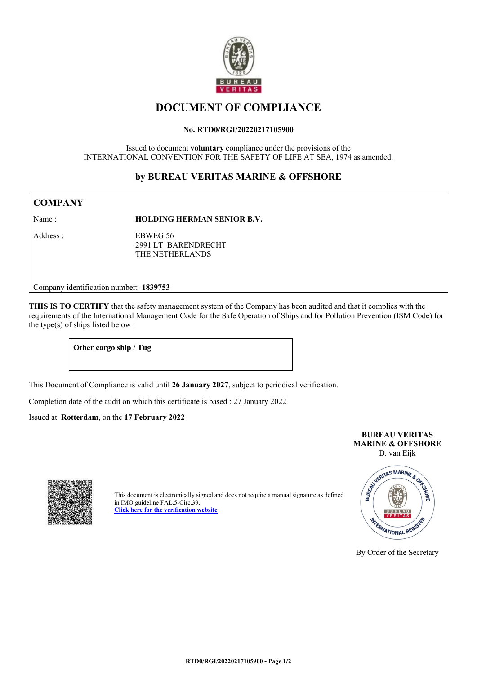

# **DOCUMENT OF COMPLIANCE**

#### **No. RTD0/RGI/20220217105900**

Issued to document **voluntary** compliance under the provisions of the INTERNATIONAL CONVENTION FOR THE SAFETY OF LIFE AT SEA, 1974 as amended.

## **by BUREAU VERITAS MARINE & OFFSHORE**

## **COMPANY**

Name : **HOLDING HERMAN SENIOR B.V.** 

Address : EBWEG 56 2991 LT BARENDRECHT THE NETHERLANDS

Company identification number: **1839753**

**THIS IS TO CERTIFY** that the safety management system of the Company has been audited and that it complies with the requirements of the International Management Code for the Safe Operation of Ships and for Pollution Prevention (ISM Code) for the type(s) of ships listed below :

### **Other cargo ship / Tug**

This Document of Compliance is valid until **26 January 2027**, subject to periodical verification.

Completion date of the audit on which this certificate is based : 27 January 2022

Issued at **Rotterdam**, on the **17 February 2022**

#### **BUREAU VERITAS MARINE & OFFSHORE** D. van Eijk



This document is electronically signed and does not require a manual signature as defined in IMO guideline FAL.5-Circ.39. **[Click here for the verification website](https://ecertificates-marine.bureauveritas.com/qrc/HWSRMW6LKGMVPR8ADBH8J2J33EJ3IM2WZV0VYACNCBK1TTLM4ZPAZ5ZRZJVCJD7RHWW8D6RYBY83VFOSE6PERLIB6GI9YGQZ43WOBSWXSG1OP3RTKSJMJJZDZZMKFFBYPJ)**



By Order of the Secretary